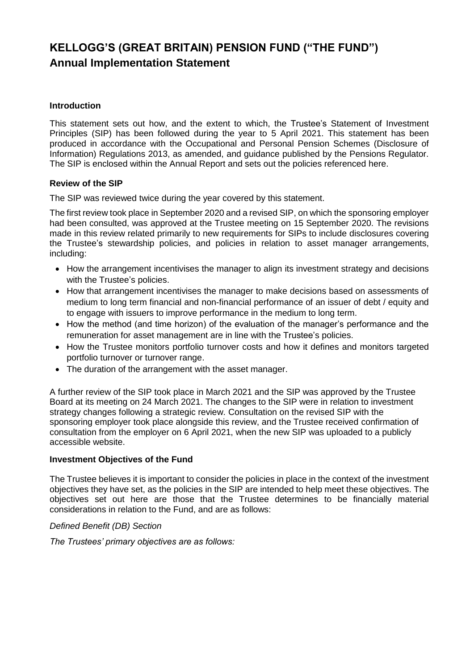### **Introduction**

This statement sets out how, and the extent to which, the Trustee's Statement of Investment Principles (SIP) has been followed during the year to 5 April 2021. This statement has been produced in accordance with the Occupational and Personal Pension Schemes (Disclosure of Information) Regulations 2013, as amended, and guidance published by the Pensions Regulator. The SIP is enclosed within the Annual Report and sets out the policies referenced here.

#### **Review of the SIP**

The SIP was reviewed twice during the year covered by this statement.

The first review took place in September 2020 and a revised SIP, on which the sponsoring employer had been consulted, was approved at the Trustee meeting on 15 September 2020. The revisions made in this review related primarily to new requirements for SIPs to include disclosures covering the Trustee's stewardship policies, and policies in relation to asset manager arrangements, including:

- How the arrangement incentivises the manager to align its investment strategy and decisions with the Trustee's policies.
- How that arrangement incentivises the manager to make decisions based on assessments of medium to long term financial and non-financial performance of an issuer of debt / equity and to engage with issuers to improve performance in the medium to long term.
- How the method (and time horizon) of the evaluation of the manager's performance and the remuneration for asset management are in line with the Trustee's policies.
- How the Trustee monitors portfolio turnover costs and how it defines and monitors targeted portfolio turnover or turnover range.
- The duration of the arrangement with the asset manager.

A further review of the SIP took place in March 2021 and the SIP was approved by the Trustee Board at its meeting on 24 March 2021. The changes to the SIP were in relation to investment strategy changes following a strategic review. Consultation on the revised SIP with the sponsoring employer took place alongside this review, and the Trustee received confirmation of consultation from the employer on 6 April 2021, when the new SIP was uploaded to a publicly accessible website.

#### **Investment Objectives of the Fund**

The Trustee believes it is important to consider the policies in place in the context of the investment objectives they have set, as the policies in the SIP are intended to help meet these objectives. The objectives set out here are those that the Trustee determines to be financially material considerations in relation to the Fund, and are as follows:

#### *Defined Benefit (DB) Section*

*The Trustees' primary objectives are as follows:*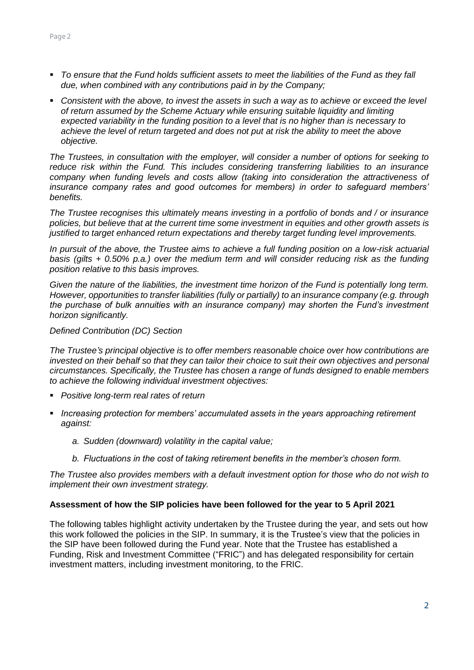- *To ensure that the Fund holds sufficient assets to meet the liabilities of the Fund as they fall due, when combined with any contributions paid in by the Company;*
- **Consistent with the above, to invest the assets in such a way as to achieve or exceed the level** *of return assumed by the Scheme Actuary while ensuring suitable liquidity and limiting expected variability in the funding position to a level that is no higher than is necessary to achieve the level of return targeted and does not put at risk the ability to meet the above objective.*

*The Trustees, in consultation with the employer, will consider a number of options for seeking to reduce risk within the Fund. This includes considering transferring liabilities to an insurance company when funding levels and costs allow (taking into consideration the attractiveness of insurance company rates and good outcomes for members) in order to safeguard members' benefits.*

*The Trustee recognises this ultimately means investing in a portfolio of bonds and / or insurance policies, but believe that at the current time some investment in equities and other growth assets is justified to target enhanced return expectations and thereby target funding level improvements.* 

*In pursuit of the above, the Trustee aims to achieve a full funding position on a low-risk actuarial basis (gilts + 0.50% p.a.) over the medium term and will consider reducing risk as the funding position relative to this basis improves.*

*Given the nature of the liabilities, the investment time horizon of the Fund is potentially long term. However, opportunities to transfer liabilities (fully or partially) to an insurance company (e.g. through the purchase of bulk annuities with an insurance company) may shorten the Fund's investment horizon significantly.*

#### *Defined Contribution (DC) Section*

*The Trustee's principal objective is to offer members reasonable choice over how contributions are*  invested on their behalf so that they can tailor their choice to suit their own objectives and personal *circumstances. Specifically, the Trustee has chosen a range of funds designed to enable members to achieve the following individual investment objectives:*

- *Positive long-term real rates of return*
- *Increasing protection for members' accumulated assets in the years approaching retirement against:*
	- *a. Sudden (downward) volatility in the capital value;*
	- *b. Fluctuations in the cost of taking retirement benefits in the member's chosen form.*

*The Trustee also provides members with a default investment option for those who do not wish to implement their own investment strategy.*

#### **Assessment of how the SIP policies have been followed for the year to 5 April 2021**

The following tables highlight activity undertaken by the Trustee during the year, and sets out how this work followed the policies in the SIP. In summary, it is the Trustee's view that the policies in the SIP have been followed during the Fund year. Note that the Trustee has established a Funding, Risk and Investment Committee ("FRIC") and has delegated responsibility for certain investment matters, including investment monitoring, to the FRIC.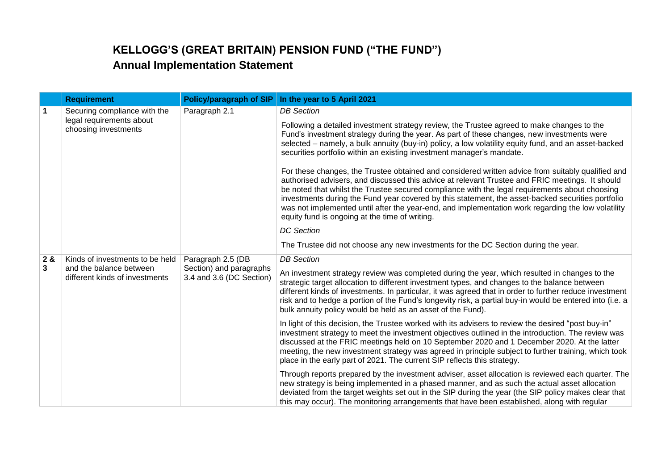|                      | <b>Requirement</b>                                                                                                                                                       | <b>Policy/paragraph of SIP</b> | In the year to 5 April 2021                                                                                                                                                                                                                                                                                                                                                                                                                                                                                                                                         |
|----------------------|--------------------------------------------------------------------------------------------------------------------------------------------------------------------------|--------------------------------|---------------------------------------------------------------------------------------------------------------------------------------------------------------------------------------------------------------------------------------------------------------------------------------------------------------------------------------------------------------------------------------------------------------------------------------------------------------------------------------------------------------------------------------------------------------------|
| $\blacktriangleleft$ | Securing compliance with the<br>legal requirements about<br>choosing investments                                                                                         | Paragraph 2.1                  | <b>DB</b> Section                                                                                                                                                                                                                                                                                                                                                                                                                                                                                                                                                   |
|                      |                                                                                                                                                                          |                                | Following a detailed investment strategy review, the Trustee agreed to make changes to the<br>Fund's investment strategy during the year. As part of these changes, new investments were<br>selected – namely, a bulk annuity (buy-in) policy, a low volatility equity fund, and an asset-backed<br>securities portfolio within an existing investment manager's mandate.                                                                                                                                                                                           |
|                      |                                                                                                                                                                          |                                | For these changes, the Trustee obtained and considered written advice from suitably qualified and<br>authorised advisers, and discussed this advice at relevant Trustee and FRIC meetings. It should<br>be noted that whilst the Trustee secured compliance with the legal requirements about choosing<br>investments during the Fund year covered by this statement, the asset-backed securities portfolio<br>was not implemented until after the year-end, and implementation work regarding the low volatility<br>equity fund is ongoing at the time of writing. |
|                      |                                                                                                                                                                          |                                | <b>DC</b> Section                                                                                                                                                                                                                                                                                                                                                                                                                                                                                                                                                   |
|                      |                                                                                                                                                                          |                                | The Trustee did not choose any new investments for the DC Section during the year.                                                                                                                                                                                                                                                                                                                                                                                                                                                                                  |
| 2 &                  | Paragraph 2.5 (DB<br>Kinds of investments to be held<br>Section) and paragraphs<br>and the balance between<br>3.4 and 3.6 (DC Section)<br>different kinds of investments | <b>DB</b> Section              |                                                                                                                                                                                                                                                                                                                                                                                                                                                                                                                                                                     |
| 3                    |                                                                                                                                                                          |                                | An investment strategy review was completed during the year, which resulted in changes to the<br>strategic target allocation to different investment types, and changes to the balance between<br>different kinds of investments. In particular, it was agreed that in order to further reduce investment<br>risk and to hedge a portion of the Fund's longevity risk, a partial buy-in would be entered into (i.e. a<br>bulk annuity policy would be held as an asset of the Fund).                                                                                |
|                      |                                                                                                                                                                          |                                | In light of this decision, the Trustee worked with its advisers to review the desired "post buy-in"<br>investment strategy to meet the investment objectives outlined in the introduction. The review was<br>discussed at the FRIC meetings held on 10 September 2020 and 1 December 2020. At the latter<br>meeting, the new investment strategy was agreed in principle subject to further training, which took<br>place in the early part of 2021. The current SIP reflects this strategy.                                                                        |
|                      |                                                                                                                                                                          |                                | Through reports prepared by the investment adviser, asset allocation is reviewed each quarter. The<br>new strategy is being implemented in a phased manner, and as such the actual asset allocation<br>deviated from the target weights set out in the SIP during the year (the SIP policy makes clear that<br>this may occur). The monitoring arrangements that have been established, along with regular                                                                                                                                                          |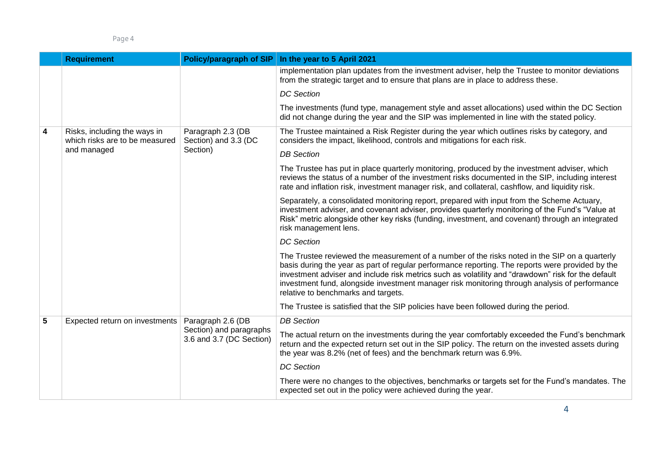|   | <b>Requirement</b>                                             | Policy/paragraph of SIP                             | In the year to 5 April 2021                                                                                                                                                                                                                                                                                                                                                                                                                     |
|---|----------------------------------------------------------------|-----------------------------------------------------|-------------------------------------------------------------------------------------------------------------------------------------------------------------------------------------------------------------------------------------------------------------------------------------------------------------------------------------------------------------------------------------------------------------------------------------------------|
|   |                                                                |                                                     | implementation plan updates from the investment adviser, help the Trustee to monitor deviations<br>from the strategic target and to ensure that plans are in place to address these.                                                                                                                                                                                                                                                            |
|   |                                                                |                                                     | <b>DC</b> Section                                                                                                                                                                                                                                                                                                                                                                                                                               |
|   |                                                                |                                                     | The investments (fund type, management style and asset allocations) used within the DC Section<br>did not change during the year and the SIP was implemented in line with the stated policy.                                                                                                                                                                                                                                                    |
| 4 | Risks, including the ways in<br>which risks are to be measured | Paragraph 2.3 (DB<br>Section) and 3.3 (DC           | The Trustee maintained a Risk Register during the year which outlines risks by category, and<br>considers the impact, likelihood, controls and mitigations for each risk.                                                                                                                                                                                                                                                                       |
|   | and managed                                                    | Section)                                            | <b>DB</b> Section                                                                                                                                                                                                                                                                                                                                                                                                                               |
|   |                                                                |                                                     | The Trustee has put in place quarterly monitoring, produced by the investment adviser, which<br>reviews the status of a number of the investment risks documented in the SIP, including interest<br>rate and inflation risk, investment manager risk, and collateral, cashflow, and liquidity risk.                                                                                                                                             |
|   |                                                                |                                                     | Separately, a consolidated monitoring report, prepared with input from the Scheme Actuary,<br>investment adviser, and covenant adviser, provides quarterly monitoring of the Fund's "Value at<br>Risk" metric alongside other key risks (funding, investment, and covenant) through an integrated<br>risk management lens.                                                                                                                      |
|   |                                                                |                                                     | <b>DC</b> Section                                                                                                                                                                                                                                                                                                                                                                                                                               |
|   |                                                                |                                                     | The Trustee reviewed the measurement of a number of the risks noted in the SIP on a quarterly<br>basis during the year as part of regular performance reporting. The reports were provided by the<br>investment adviser and include risk metrics such as volatility and "drawdown" risk for the default<br>investment fund, alongside investment manager risk monitoring through analysis of performance<br>relative to benchmarks and targets. |
|   |                                                                |                                                     | The Trustee is satisfied that the SIP policies have been followed during the period.                                                                                                                                                                                                                                                                                                                                                            |
| 5 | Expected return on investments                                 | Paragraph 2.6 (DB                                   | <b>DB</b> Section                                                                                                                                                                                                                                                                                                                                                                                                                               |
|   |                                                                | Section) and paragraphs<br>3.6 and 3.7 (DC Section) | The actual return on the investments during the year comfortably exceeded the Fund's benchmark<br>return and the expected return set out in the SIP policy. The return on the invested assets during<br>the year was 8.2% (net of fees) and the benchmark return was 6.9%.                                                                                                                                                                      |
|   |                                                                |                                                     | <b>DC</b> Section                                                                                                                                                                                                                                                                                                                                                                                                                               |
|   |                                                                |                                                     | There were no changes to the objectives, benchmarks or targets set for the Fund's mandates. The<br>expected set out in the policy were achieved during the year.                                                                                                                                                                                                                                                                                |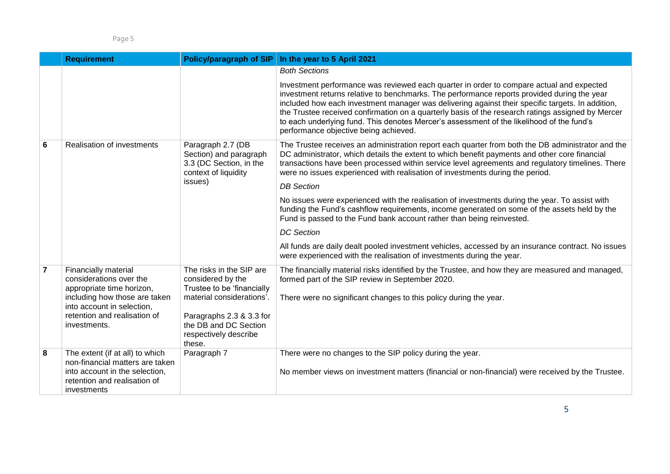|                | <b>Requirement</b>                                                                          | Policy/paragraph of SIP                                                                                   | In the year to 5 April 2021                                                                                                                                                                                                                                                                                                                                                                                                                                                                                                            |
|----------------|---------------------------------------------------------------------------------------------|-----------------------------------------------------------------------------------------------------------|----------------------------------------------------------------------------------------------------------------------------------------------------------------------------------------------------------------------------------------------------------------------------------------------------------------------------------------------------------------------------------------------------------------------------------------------------------------------------------------------------------------------------------------|
|                |                                                                                             |                                                                                                           | <b>Both Sections</b>                                                                                                                                                                                                                                                                                                                                                                                                                                                                                                                   |
|                |                                                                                             |                                                                                                           | Investment performance was reviewed each quarter in order to compare actual and expected<br>investment returns relative to benchmarks. The performance reports provided during the year<br>included how each investment manager was delivering against their specific targets. In addition,<br>the Trustee received confirmation on a quarterly basis of the research ratings assigned by Mercer<br>to each underlying fund. This denotes Mercer's assessment of the likelihood of the fund's<br>performance objective being achieved. |
| 6              | Realisation of investments                                                                  | Paragraph 2.7 (DB<br>Section) and paragraph<br>3.3 (DC Section, in the<br>context of liquidity<br>issues) | The Trustee receives an administration report each quarter from both the DB administrator and the<br>DC administrator, which details the extent to which benefit payments and other core financial<br>transactions have been processed within service level agreements and regulatory timelines. There<br>were no issues experienced with realisation of investments during the period.<br><b>DB</b> Section                                                                                                                           |
|                |                                                                                             |                                                                                                           |                                                                                                                                                                                                                                                                                                                                                                                                                                                                                                                                        |
|                |                                                                                             |                                                                                                           | No issues were experienced with the realisation of investments during the year. To assist with<br>funding the Fund's cashflow requirements, income generated on some of the assets held by the<br>Fund is passed to the Fund bank account rather than being reinvested.                                                                                                                                                                                                                                                                |
|                |                                                                                             |                                                                                                           | <b>DC</b> Section                                                                                                                                                                                                                                                                                                                                                                                                                                                                                                                      |
|                |                                                                                             |                                                                                                           | All funds are daily dealt pooled investment vehicles, accessed by an insurance contract. No issues<br>were experienced with the realisation of investments during the year.                                                                                                                                                                                                                                                                                                                                                            |
| $\overline{7}$ | <b>Financially material</b><br>considerations over the<br>appropriate time horizon,         | The risks in the SIP are<br>considered by the<br>Trustee to be 'financially                               | The financially material risks identified by the Trustee, and how they are measured and managed,<br>formed part of the SIP review in September 2020.                                                                                                                                                                                                                                                                                                                                                                                   |
|                | including how those are taken<br>into account in selection,<br>retention and realisation of | material considerations'.                                                                                 | There were no significant changes to this policy during the year.                                                                                                                                                                                                                                                                                                                                                                                                                                                                      |
|                | investments.                                                                                | Paragraphs 2.3 & 3.3 for<br>the DB and DC Section<br>respectively describe<br>these.                      |                                                                                                                                                                                                                                                                                                                                                                                                                                                                                                                                        |
| 8              | The extent (if at all) to which<br>non-financial matters are taken                          | Paragraph 7                                                                                               | There were no changes to the SIP policy during the year.                                                                                                                                                                                                                                                                                                                                                                                                                                                                               |
|                | into account in the selection,<br>retention and realisation of<br>investments               |                                                                                                           | No member views on investment matters (financial or non-financial) were received by the Trustee.                                                                                                                                                                                                                                                                                                                                                                                                                                       |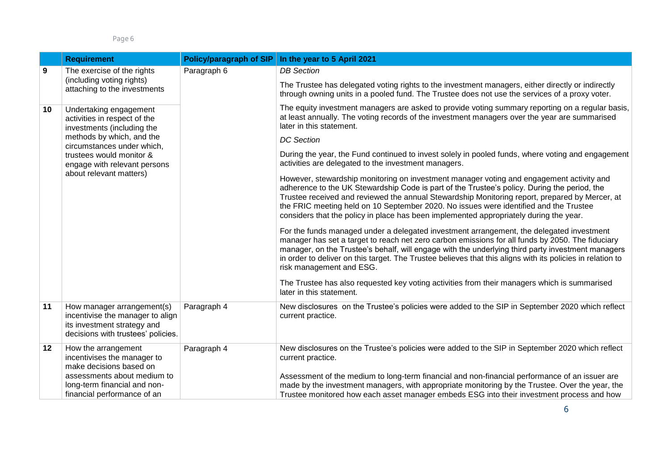|    | <b>Requirement</b>                                                                                                                  | Policy/paragraph of SIP | In the year to 5 April 2021                                                                                                                                                                                                                                                                                                                                                                                                                                                   |
|----|-------------------------------------------------------------------------------------------------------------------------------------|-------------------------|-------------------------------------------------------------------------------------------------------------------------------------------------------------------------------------------------------------------------------------------------------------------------------------------------------------------------------------------------------------------------------------------------------------------------------------------------------------------------------|
| 9  | The exercise of the rights                                                                                                          | Paragraph 6             | <b>DB</b> Section                                                                                                                                                                                                                                                                                                                                                                                                                                                             |
|    | (including voting rights)<br>attaching to the investments                                                                           |                         | The Trustee has delegated voting rights to the investment managers, either directly or indirectly<br>through owning units in a pooled fund. The Trustee does not use the services of a proxy voter.                                                                                                                                                                                                                                                                           |
| 10 | Undertaking engagement<br>activities in respect of the<br>investments (including the                                                |                         | The equity investment managers are asked to provide voting summary reporting on a regular basis,<br>at least annually. The voting records of the investment managers over the year are summarised<br>later in this statement.                                                                                                                                                                                                                                                 |
|    | methods by which, and the<br>circumstances under which,                                                                             |                         | <b>DC</b> Section                                                                                                                                                                                                                                                                                                                                                                                                                                                             |
|    | trustees would monitor &<br>engage with relevant persons                                                                            |                         | During the year, the Fund continued to invest solely in pooled funds, where voting and engagement<br>activities are delegated to the investment managers.                                                                                                                                                                                                                                                                                                                     |
|    | about relevant matters)                                                                                                             |                         | However, stewardship monitoring on investment manager voting and engagement activity and<br>adherence to the UK Stewardship Code is part of the Trustee's policy. During the period, the<br>Trustee received and reviewed the annual Stewardship Monitoring report, prepared by Mercer, at<br>the FRIC meeting held on 10 September 2020. No issues were identified and the Trustee<br>considers that the policy in place has been implemented appropriately during the year. |
|    |                                                                                                                                     |                         | For the funds managed under a delegated investment arrangement, the delegated investment<br>manager has set a target to reach net zero carbon emissions for all funds by 2050. The fiduciary<br>manager, on the Trustee's behalf, will engage with the underlying third party investment managers<br>in order to deliver on this target. The Trustee believes that this aligns with its policies in relation to<br>risk management and ESG.                                   |
|    |                                                                                                                                     |                         | The Trustee has also requested key voting activities from their managers which is summarised<br>later in this statement.                                                                                                                                                                                                                                                                                                                                                      |
| 11 | How manager arrangement(s)<br>incentivise the manager to align<br>its investment strategy and<br>decisions with trustees' policies. | Paragraph 4             | New disclosures on the Trustee's policies were added to the SIP in September 2020 which reflect<br>current practice.                                                                                                                                                                                                                                                                                                                                                          |
| 12 | How the arrangement<br>incentivises the manager to<br>make decisions based on                                                       | Paragraph 4             | New disclosures on the Trustee's policies were added to the SIP in September 2020 which reflect<br>current practice.                                                                                                                                                                                                                                                                                                                                                          |
|    | assessments about medium to<br>long-term financial and non-<br>financial performance of an                                          |                         | Assessment of the medium to long-term financial and non-financial performance of an issuer are<br>made by the investment managers, with appropriate monitoring by the Trustee. Over the year, the<br>Trustee monitored how each asset manager embeds ESG into their investment process and how                                                                                                                                                                                |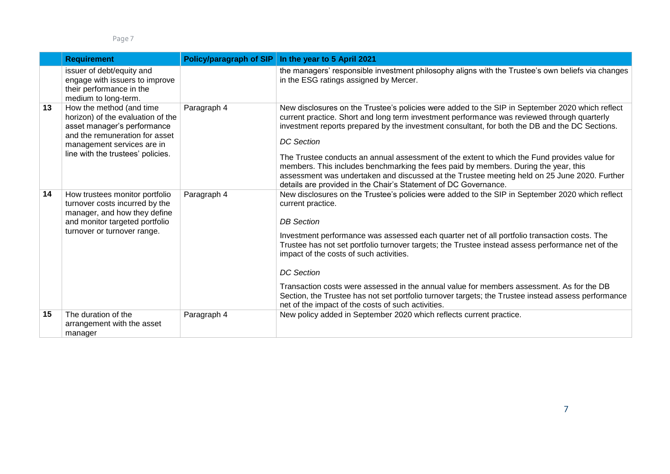|    | <b>Requirement</b>                                                                                                                                                                                | Policy/paragraph of SIP | In the year to 5 April 2021                                                                                                                                                                                                                                                                                                                                                                                                                                                                                                                                                                                                                                                     |
|----|---------------------------------------------------------------------------------------------------------------------------------------------------------------------------------------------------|-------------------------|---------------------------------------------------------------------------------------------------------------------------------------------------------------------------------------------------------------------------------------------------------------------------------------------------------------------------------------------------------------------------------------------------------------------------------------------------------------------------------------------------------------------------------------------------------------------------------------------------------------------------------------------------------------------------------|
|    | issuer of debt/equity and<br>engage with issuers to improve<br>their performance in the<br>medium to long-term.                                                                                   |                         | the managers' responsible investment philosophy aligns with the Trustee's own beliefs via changes<br>in the ESG ratings assigned by Mercer.                                                                                                                                                                                                                                                                                                                                                                                                                                                                                                                                     |
| 13 | How the method (and time<br>horizon) of the evaluation of the<br>asset manager's performance<br>and the remuneration for asset<br>management services are in<br>line with the trustees' policies. | Paragraph 4             | New disclosures on the Trustee's policies were added to the SIP in September 2020 which reflect<br>current practice. Short and long term investment performance was reviewed through quarterly<br>investment reports prepared by the investment consultant, for both the DB and the DC Sections.<br><b>DC</b> Section<br>The Trustee conducts an annual assessment of the extent to which the Fund provides value for<br>members. This includes benchmarking the fees paid by members. During the year, this<br>assessment was undertaken and discussed at the Trustee meeting held on 25 June 2020. Further<br>details are provided in the Chair's Statement of DC Governance. |
| 14 | How trustees monitor portfolio<br>turnover costs incurred by the<br>manager, and how they define<br>and monitor targeted portfolio<br>turnover or turnover range.                                 | Paragraph 4             | New disclosures on the Trustee's policies were added to the SIP in September 2020 which reflect<br>current practice.<br><b>DB</b> Section<br>Investment performance was assessed each quarter net of all portfolio transaction costs. The<br>Trustee has not set portfolio turnover targets; the Trustee instead assess performance net of the<br>impact of the costs of such activities.<br><b>DC</b> Section<br>Transaction costs were assessed in the annual value for members assessment. As for the DB<br>Section, the Trustee has not set portfolio turnover targets; the Trustee instead assess performance<br>net of the impact of the costs of such activities.        |
| 15 | The duration of the<br>arrangement with the asset<br>manager                                                                                                                                      | Paragraph 4             | New policy added in September 2020 which reflects current practice.                                                                                                                                                                                                                                                                                                                                                                                                                                                                                                                                                                                                             |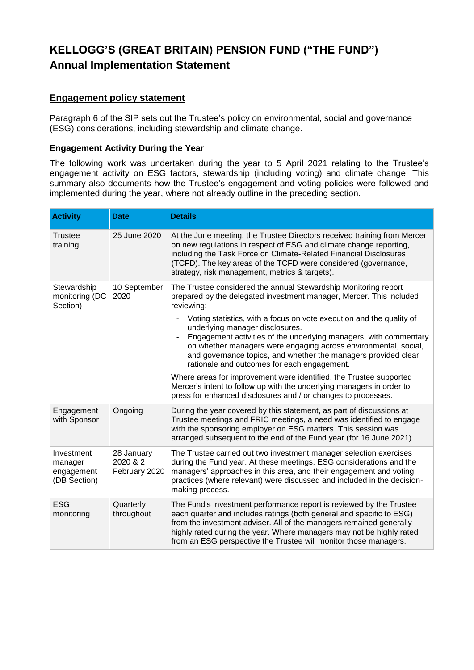## **Engagement policy statement**

Paragraph 6 of the SIP sets out the Trustee's policy on environmental, social and governance (ESG) considerations, including stewardship and climate change.

### **Engagement Activity During the Year**

The following work was undertaken during the year to 5 April 2021 relating to the Trustee's engagement activity on ESG factors, stewardship (including voting) and climate change. This summary also documents how the Trustee's engagement and voting policies were followed and implemented during the year, where not already outline in the preceding section.

| <b>Activity</b>                                     | <b>Date</b>                             | <b>Details</b>                                                                                                                                                                                                                                                                                                                                                                                                                                                                                                                                                                                                                                                                                                                           |
|-----------------------------------------------------|-----------------------------------------|------------------------------------------------------------------------------------------------------------------------------------------------------------------------------------------------------------------------------------------------------------------------------------------------------------------------------------------------------------------------------------------------------------------------------------------------------------------------------------------------------------------------------------------------------------------------------------------------------------------------------------------------------------------------------------------------------------------------------------------|
| Trustee<br>training                                 | 25 June 2020                            | At the June meeting, the Trustee Directors received training from Mercer<br>on new regulations in respect of ESG and climate change reporting,<br>including the Task Force on Climate-Related Financial Disclosures<br>(TCFD). The key areas of the TCFD were considered (governance,<br>strategy, risk management, metrics & targets).                                                                                                                                                                                                                                                                                                                                                                                                  |
| Stewardship<br>monitoring (DC<br>Section)           | 10 September<br>2020                    | The Trustee considered the annual Stewardship Monitoring report<br>prepared by the delegated investment manager, Mercer. This included<br>reviewing:<br>Voting statistics, with a focus on vote execution and the quality of<br>underlying manager disclosures.<br>Engagement activities of the underlying managers, with commentary<br>on whether managers were engaging across environmental, social,<br>and governance topics, and whether the managers provided clear<br>rationale and outcomes for each engagement.<br>Where areas for improvement were identified, the Trustee supported<br>Mercer's intent to follow up with the underlying managers in order to<br>press for enhanced disclosures and / or changes to processes. |
| Engagement<br>with Sponsor                          | Ongoing                                 | During the year covered by this statement, as part of discussions at<br>Trustee meetings and FRIC meetings, a need was identified to engage<br>with the sponsoring employer on ESG matters. This session was<br>arranged subsequent to the end of the Fund year (for 16 June 2021).                                                                                                                                                                                                                                                                                                                                                                                                                                                      |
| Investment<br>manager<br>engagement<br>(DB Section) | 28 January<br>2020 & 2<br>February 2020 | The Trustee carried out two investment manager selection exercises<br>during the Fund year. At these meetings, ESG considerations and the<br>managers' approaches in this area, and their engagement and voting<br>practices (where relevant) were discussed and included in the decision-<br>making process.                                                                                                                                                                                                                                                                                                                                                                                                                            |
| <b>ESG</b><br>monitoring                            | Quarterly<br>throughout                 | The Fund's investment performance report is reviewed by the Trustee<br>each quarter and includes ratings (both general and specific to ESG)<br>from the investment adviser. All of the managers remained generally<br>highly rated during the year. Where managers may not be highly rated<br>from an ESG perspective the Trustee will monitor those managers.                                                                                                                                                                                                                                                                                                                                                                           |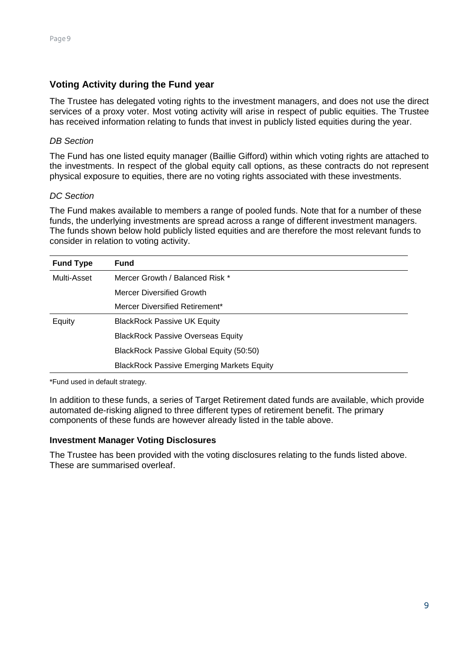## **Voting Activity during the Fund year**

The Trustee has delegated voting rights to the investment managers, and does not use the direct services of a proxy voter. Most voting activity will arise in respect of public equities. The Trustee has received information relating to funds that invest in publicly listed equities during the year.

### *DB Section*

The Fund has one listed equity manager (Baillie Gifford) within which voting rights are attached to the investments. In respect of the global equity call options, as these contracts do not represent physical exposure to equities, there are no voting rights associated with these investments.

### *DC Section*

The Fund makes available to members a range of pooled funds. Note that for a number of these funds, the underlying investments are spread across a range of different investment managers. The funds shown below hold publicly listed equities and are therefore the most relevant funds to consider in relation to voting activity.

| <b>Fund Type</b> | <b>Fund</b>                                      |
|------------------|--------------------------------------------------|
| Multi-Asset      | Mercer Growth / Balanced Risk *                  |
|                  | Mercer Diversified Growth                        |
|                  | Mercer Diversified Retirement*                   |
| Equity           | <b>BlackRock Passive UK Equity</b>               |
|                  | <b>BlackRock Passive Overseas Equity</b>         |
|                  | BlackRock Passive Global Equity (50:50)          |
|                  | <b>BlackRock Passive Emerging Markets Equity</b> |

\*Fund used in default strategy.

In addition to these funds, a series of Target Retirement dated funds are available, which provide automated de-risking aligned to three different types of retirement benefit. The primary components of these funds are however already listed in the table above.

### **Investment Manager Voting Disclosures**

The Trustee has been provided with the voting disclosures relating to the funds listed above. These are summarised overleaf.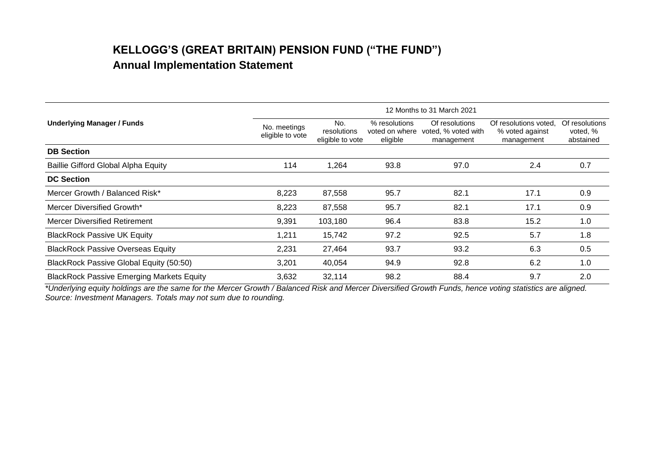|                                                  | 12 Months to 31 March 2021       |                                        |                                             |                                                     |                                                        |                                         |  |
|--------------------------------------------------|----------------------------------|----------------------------------------|---------------------------------------------|-----------------------------------------------------|--------------------------------------------------------|-----------------------------------------|--|
| <b>Underlying Manager / Funds</b>                | No. meetings<br>eligible to vote | No.<br>resolutions<br>eligible to vote | % resolutions<br>voted on where<br>eligible | Of resolutions<br>voted, % voted with<br>management | Of resolutions voted.<br>% voted against<br>management | Of resolutions<br>voted, %<br>abstained |  |
| <b>DB Section</b>                                |                                  |                                        |                                             |                                                     |                                                        |                                         |  |
| Baillie Gifford Global Alpha Equity              | 114                              | 1,264                                  | 93.8                                        | 97.0                                                | 2.4                                                    | 0.7                                     |  |
| <b>DC Section</b>                                |                                  |                                        |                                             |                                                     |                                                        |                                         |  |
| Mercer Growth / Balanced Risk*                   | 8,223                            | 87,558                                 | 95.7                                        | 82.1                                                | 17.1                                                   | 0.9                                     |  |
| Mercer Diversified Growth*                       | 8,223                            | 87,558                                 | 95.7                                        | 82.1                                                | 17.1                                                   | 0.9                                     |  |
| <b>Mercer Diversified Retirement</b>             | 9,391                            | 103,180                                | 96.4                                        | 83.8                                                | 15.2                                                   | 1.0                                     |  |
| <b>BlackRock Passive UK Equity</b>               | 1,211                            | 15,742                                 | 97.2                                        | 92.5                                                | 5.7                                                    | 1.8                                     |  |
| <b>BlackRock Passive Overseas Equity</b>         | 2,231                            | 27,464                                 | 93.7                                        | 93.2                                                | 6.3                                                    | 0.5                                     |  |
| BlackRock Passive Global Equity (50:50)          | 3,201                            | 40,054                                 | 94.9                                        | 92.8                                                | 6.2                                                    | 1.0                                     |  |
| <b>BlackRock Passive Emerging Markets Equity</b> | 3,632                            | 32,114                                 | 98.2                                        | 88.4                                                | 9.7                                                    | 2.0                                     |  |

*\*Underlying equity holdings are the same for the Mercer Growth / Balanced Risk and Mercer Diversified Growth Funds, hence voting statistics are aligned. Source: Investment Managers. Totals may not sum due to rounding.*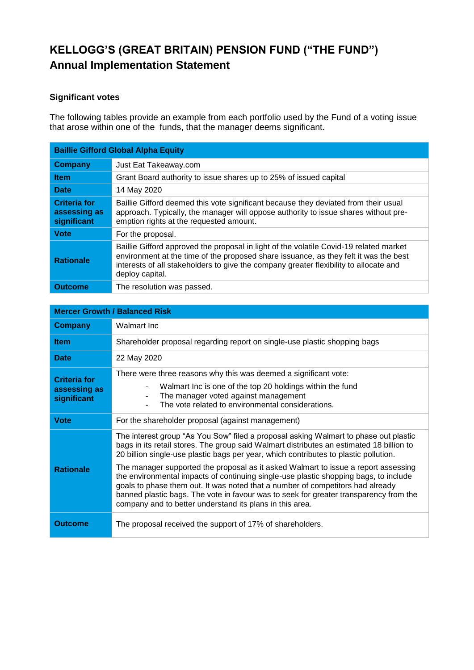## **Significant votes**

The following tables provide an example from each portfolio used by the Fund of a voting issue that arose within one of the funds, that the manager deems significant.

| <b>Baillie Gifford Global Alpha Equity</b>         |                                                                                                                                                                                                                                                                                            |  |
|----------------------------------------------------|--------------------------------------------------------------------------------------------------------------------------------------------------------------------------------------------------------------------------------------------------------------------------------------------|--|
| <b>Company</b>                                     | Just Eat Takeaway.com                                                                                                                                                                                                                                                                      |  |
| <b>Item</b>                                        | Grant Board authority to issue shares up to 25% of issued capital                                                                                                                                                                                                                          |  |
| <b>Date</b>                                        | 14 May 2020                                                                                                                                                                                                                                                                                |  |
| <b>Criteria for</b><br>assessing as<br>significant | Baillie Gifford deemed this vote significant because they deviated from their usual<br>approach. Typically, the manager will oppose authority to issue shares without pre-<br>emption rights at the requested amount.                                                                      |  |
| <b>Vote</b>                                        | For the proposal.                                                                                                                                                                                                                                                                          |  |
| <b>Rationale</b>                                   | Baillie Gifford approved the proposal in light of the volatile Covid-19 related market<br>environment at the time of the proposed share issuance, as they felt it was the best<br>interests of all stakeholders to give the company greater flexibility to allocate and<br>deploy capital. |  |
| <b>Outcome</b>                                     | The resolution was passed.                                                                                                                                                                                                                                                                 |  |

| <b>Mercer Growth / Balanced Risk</b>               |                                                                                                                                                                                                                                                                                                                                                                                                                                                        |  |  |  |
|----------------------------------------------------|--------------------------------------------------------------------------------------------------------------------------------------------------------------------------------------------------------------------------------------------------------------------------------------------------------------------------------------------------------------------------------------------------------------------------------------------------------|--|--|--|
| <b>Company</b>                                     | Walmart Inc                                                                                                                                                                                                                                                                                                                                                                                                                                            |  |  |  |
| <b>Item</b>                                        | Shareholder proposal regarding report on single-use plastic shopping bags                                                                                                                                                                                                                                                                                                                                                                              |  |  |  |
| <b>Date</b>                                        | 22 May 2020                                                                                                                                                                                                                                                                                                                                                                                                                                            |  |  |  |
| <b>Criteria for</b><br>assessing as<br>significant | There were three reasons why this was deemed a significant vote:<br>Walmart Inc is one of the top 20 holdings within the fund<br>$\blacksquare$<br>The manager voted against management<br>The vote related to environmental considerations.                                                                                                                                                                                                           |  |  |  |
| <b>Vote</b>                                        | For the shareholder proposal (against management)                                                                                                                                                                                                                                                                                                                                                                                                      |  |  |  |
| <b>Rationale</b>                                   | The interest group "As You Sow" filed a proposal asking Walmart to phase out plastic<br>bags in its retail stores. The group said Walmart distributes an estimated 18 billion to<br>20 billion single-use plastic bags per year, which contributes to plastic pollution.<br>The manager supported the proposal as it asked Walmart to issue a report assessing<br>the environmental impacts of continuing single-use plastic shopping bags, to include |  |  |  |
|                                                    | goals to phase them out. It was noted that a number of competitors had already<br>banned plastic bags. The vote in favour was to seek for greater transparency from the<br>company and to better understand its plans in this area.                                                                                                                                                                                                                    |  |  |  |
| Outcome                                            | The proposal received the support of 17% of shareholders.                                                                                                                                                                                                                                                                                                                                                                                              |  |  |  |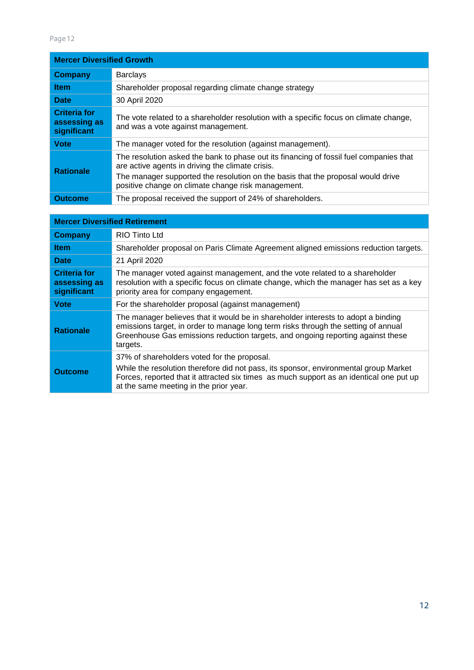#### Page 12

| <b>Mercer Diversified Growth</b>                   |                                                                                                                                                                                                                                                                                     |  |
|----------------------------------------------------|-------------------------------------------------------------------------------------------------------------------------------------------------------------------------------------------------------------------------------------------------------------------------------------|--|
| <b>Company</b>                                     | <b>Barclays</b>                                                                                                                                                                                                                                                                     |  |
| <b>Item</b>                                        | Shareholder proposal regarding climate change strategy                                                                                                                                                                                                                              |  |
| <b>Date</b>                                        | 30 April 2020                                                                                                                                                                                                                                                                       |  |
| <b>Criteria for</b><br>assessing as<br>significant | The vote related to a shareholder resolution with a specific focus on climate change,<br>and was a vote against management.                                                                                                                                                         |  |
| <b>Vote</b>                                        | The manager voted for the resolution (against management).                                                                                                                                                                                                                          |  |
| <b>Rationale</b>                                   | The resolution asked the bank to phase out its financing of fossil fuel companies that<br>are active agents in driving the climate crisis.<br>The manager supported the resolution on the basis that the proposal would drive<br>positive change on climate change risk management. |  |
| <b>Outcome</b>                                     | The proposal received the support of 24% of shareholders.                                                                                                                                                                                                                           |  |

| <b>Mercer Diversified Retirement</b>               |                                                                                                                                                                                                                                                                          |  |  |  |
|----------------------------------------------------|--------------------------------------------------------------------------------------------------------------------------------------------------------------------------------------------------------------------------------------------------------------------------|--|--|--|
| Company                                            | RIO Tinto Ltd                                                                                                                                                                                                                                                            |  |  |  |
| <b>Item</b>                                        | Shareholder proposal on Paris Climate Agreement aligned emissions reduction targets.                                                                                                                                                                                     |  |  |  |
| <b>Date</b>                                        | 21 April 2020                                                                                                                                                                                                                                                            |  |  |  |
| <b>Criteria for</b><br>assessing as<br>significant | The manager voted against management, and the vote related to a shareholder<br>resolution with a specific focus on climate change, which the manager has set as a key<br>priority area for company engagement.                                                           |  |  |  |
| <b>Vote</b>                                        | For the shareholder proposal (against management)                                                                                                                                                                                                                        |  |  |  |
| <b>Rationale</b>                                   | The manager believes that it would be in shareholder interests to adopt a binding<br>emissions target, in order to manage long term risks through the setting of annual<br>Greenhouse Gas emissions reduction targets, and ongoing reporting against these<br>targets.   |  |  |  |
| <b>Outcome</b>                                     | 37% of shareholders voted for the proposal.<br>While the resolution therefore did not pass, its sponsor, environmental group Market<br>Forces, reported that it attracted six times as much support as an identical one put up<br>at the same meeting in the prior year. |  |  |  |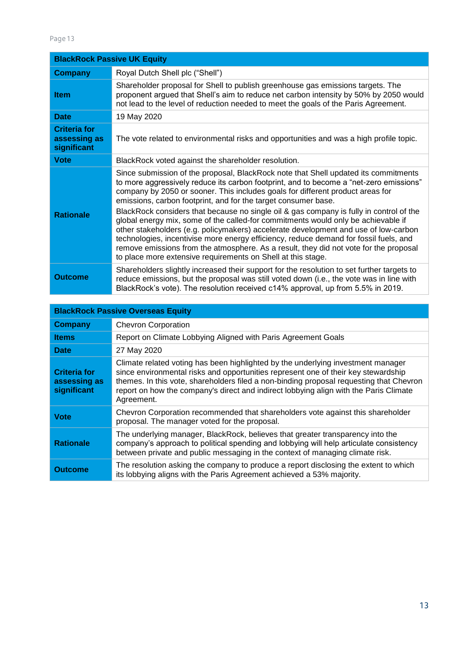| <b>BlackRock Passive UK Equity</b>                 |                                                                                                                                                                                                                                                                                                                                                                                                                                                                                                                                                                                                                                                                                                                                                                                                                                                            |  |
|----------------------------------------------------|------------------------------------------------------------------------------------------------------------------------------------------------------------------------------------------------------------------------------------------------------------------------------------------------------------------------------------------------------------------------------------------------------------------------------------------------------------------------------------------------------------------------------------------------------------------------------------------------------------------------------------------------------------------------------------------------------------------------------------------------------------------------------------------------------------------------------------------------------------|--|
| <b>Company</b>                                     | Royal Dutch Shell plc ("Shell")                                                                                                                                                                                                                                                                                                                                                                                                                                                                                                                                                                                                                                                                                                                                                                                                                            |  |
| <b>Item</b>                                        | Shareholder proposal for Shell to publish greenhouse gas emissions targets. The<br>proponent argued that Shell's aim to reduce net carbon intensity by 50% by 2050 would<br>not lead to the level of reduction needed to meet the goals of the Paris Agreement.                                                                                                                                                                                                                                                                                                                                                                                                                                                                                                                                                                                            |  |
| <b>Date</b>                                        | 19 May 2020                                                                                                                                                                                                                                                                                                                                                                                                                                                                                                                                                                                                                                                                                                                                                                                                                                                |  |
| <b>Criteria for</b><br>assessing as<br>significant | The vote related to environmental risks and opportunities and was a high profile topic.                                                                                                                                                                                                                                                                                                                                                                                                                                                                                                                                                                                                                                                                                                                                                                    |  |
| <b>Vote</b>                                        | BlackRock voted against the shareholder resolution.                                                                                                                                                                                                                                                                                                                                                                                                                                                                                                                                                                                                                                                                                                                                                                                                        |  |
| <b>Rationale</b>                                   | Since submission of the proposal, BlackRock note that Shell updated its commitments<br>to more aggressively reduce its carbon footprint, and to become a "net-zero emissions"<br>company by 2050 or sooner. This includes goals for different product areas for<br>emissions, carbon footprint, and for the target consumer base.<br>BlackRock considers that because no single oil & gas company is fully in control of the<br>global energy mix, some of the called-for commitments would only be achievable if<br>other stakeholders (e.g. policymakers) accelerate development and use of low-carbon<br>technologies, incentivise more energy efficiency, reduce demand for fossil fuels, and<br>remove emissions from the atmosphere. As a result, they did not vote for the proposal<br>to place more extensive requirements on Shell at this stage. |  |
| <b>Outcome</b>                                     | Shareholders slightly increased their support for the resolution to set further targets to<br>reduce emissions, but the proposal was still voted down (i.e., the vote was in line with<br>BlackRock's vote). The resolution received c14% approval, up from 5.5% in 2019.                                                                                                                                                                                                                                                                                                                                                                                                                                                                                                                                                                                  |  |

| <b>BlackRock Passive Overseas Equity</b>           |                                                                                                                                                                                                                                                                                                                                                                          |  |
|----------------------------------------------------|--------------------------------------------------------------------------------------------------------------------------------------------------------------------------------------------------------------------------------------------------------------------------------------------------------------------------------------------------------------------------|--|
| <b>Company</b>                                     | <b>Chevron Corporation</b>                                                                                                                                                                                                                                                                                                                                               |  |
| <b>Items</b>                                       | Report on Climate Lobbying Aligned with Paris Agreement Goals                                                                                                                                                                                                                                                                                                            |  |
| <b>Date</b>                                        | 27 May 2020                                                                                                                                                                                                                                                                                                                                                              |  |
| <b>Criteria for</b><br>assessing as<br>significant | Climate related voting has been highlighted by the underlying investment manager<br>since environmental risks and opportunities represent one of their key stewardship<br>themes. In this vote, shareholders filed a non-binding proposal requesting that Chevron<br>report on how the company's direct and indirect lobbying align with the Paris Climate<br>Agreement. |  |
| <b>Vote</b>                                        | Chevron Corporation recommended that shareholders vote against this shareholder<br>proposal. The manager voted for the proposal.                                                                                                                                                                                                                                         |  |
| <b>Rationale</b>                                   | The underlying manager, BlackRock, believes that greater transparency into the<br>company's approach to political spending and lobbying will help articulate consistency<br>between private and public messaging in the context of managing climate risk.                                                                                                                |  |
| <b>Outcome</b>                                     | The resolution asking the company to produce a report disclosing the extent to which<br>its lobbying aligns with the Paris Agreement achieved a 53% majority.                                                                                                                                                                                                            |  |